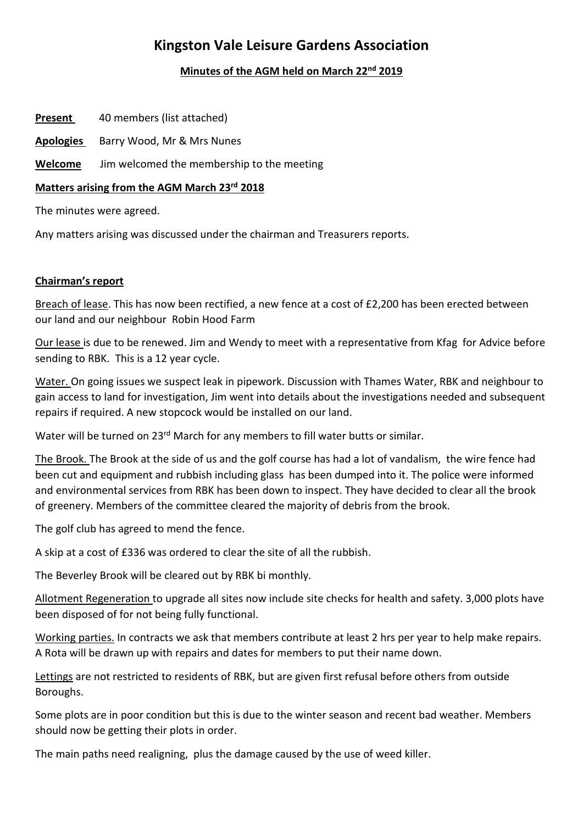# **Kingston Vale Leisure Gardens Association**

## **Minutes of the AGM held on March 22nd 2019**

**Present** 40 members (list attached)

**Apologies** Barry Wood, Mr & Mrs Nunes

**Welcome** Jim welcomed the membership to the meeting

## **Matters arising from the AGM March 23rd 2018**

The minutes were agreed.

Any matters arising was discussed under the chairman and Treasurers reports.

## **Chairman's report**

Breach of lease. This has now been rectified, a new fence at a cost of £2,200 has been erected between our land and our neighbour Robin Hood Farm

Our lease is due to be renewed. Jim and Wendy to meet with a representative from Kfag for Advice before sending to RBK. This is a 12 year cycle.

Water. On going issues we suspect leak in pipework. Discussion with Thames Water, RBK and neighbour to gain access to land for investigation, Jim went into details about the investigations needed and subsequent repairs if required. A new stopcock would be installed on our land.

Water will be turned on 23<sup>rd</sup> March for any members to fill water butts or similar.

The Brook. The Brook at the side of us and the golf course has had a lot of vandalism, the wire fence had been cut and equipment and rubbish including glass has been dumped into it. The police were informed and environmental services from RBK has been down to inspect. They have decided to clear all the brook of greenery. Members of the committee cleared the majority of debris from the brook.

The golf club has agreed to mend the fence.

A skip at a cost of £336 was ordered to clear the site of all the rubbish.

The Beverley Brook will be cleared out by RBK bi monthly.

Allotment Regeneration to upgrade all sites now include site checks for health and safety. 3,000 plots have been disposed of for not being fully functional.

Working parties. In contracts we ask that members contribute at least 2 hrs per year to help make repairs. A Rota will be drawn up with repairs and dates for members to put their name down.

Lettings are not restricted to residents of RBK, but are given first refusal before others from outside Boroughs.

Some plots are in poor condition but this is due to the winter season and recent bad weather. Members should now be getting their plots in order.

The main paths need realigning, plus the damage caused by the use of weed killer.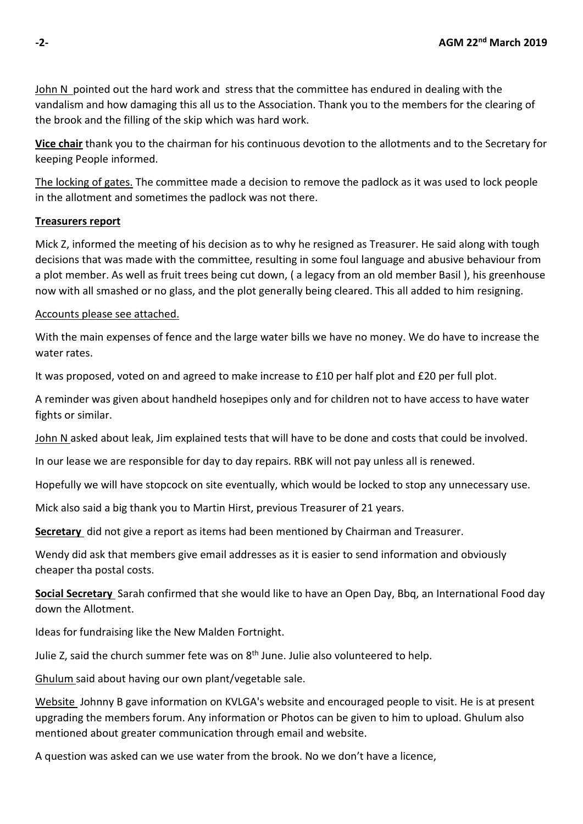John N pointed out the hard work and stress that the committee has endured in dealing with the vandalism and how damaging this all us to the Association. Thank you to the members for the clearing of the brook and the filling of the skip which was hard work.

**Vice chair** thank you to the chairman for his continuous devotion to the allotments and to the Secretary for keeping People informed.

The locking of gates. The committee made a decision to remove the padlock as it was used to lock people in the allotment and sometimes the padlock was not there.

### **Treasurers report**

Mick Z, informed the meeting of his decision as to why he resigned as Treasurer. He said along with tough decisions that was made with the committee, resulting in some foul language and abusive behaviour from a plot member. As well as fruit trees being cut down, ( a legacy from an old member Basil ), his greenhouse now with all smashed or no glass, and the plot generally being cleared. This all added to him resigning.

### Accounts please see attached.

With the main expenses of fence and the large water bills we have no money. We do have to increase the water rates.

It was proposed, voted on and agreed to make increase to £10 per half plot and £20 per full plot.

A reminder was given about handheld hosepipes only and for children not to have access to have water fights or similar.

John N asked about leak, Jim explained tests that will have to be done and costs that could be involved.

In our lease we are responsible for day to day repairs. RBK will not pay unless all is renewed.

Hopefully we will have stopcock on site eventually, which would be locked to stop any unnecessary use.

Mick also said a big thank you to Martin Hirst, previous Treasurer of 21 years.

**Secretary** did not give a report as items had been mentioned by Chairman and Treasurer.

Wendy did ask that members give email addresses as it is easier to send information and obviously cheaper tha postal costs.

**Social Secretary** Sarah confirmed that she would like to have an Open Day, Bbq, an International Food day down the Allotment.

Ideas for fundraising like the New Malden Fortnight.

Julie Z, said the church summer fete was on 8<sup>th</sup> June. Julie also volunteered to help.

Ghulum said about having our own plant/vegetable sale.

Website Johnny B gave information on KVLGA's website and encouraged people to visit. He is at present upgrading the members forum. Any information or Photos can be given to him to upload. Ghulum also mentioned about greater communication through email and website.

A question was asked can we use water from the brook. No we don't have a licence,